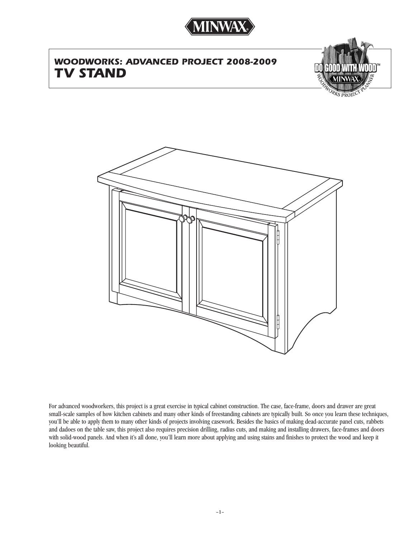

# *WOODWORKS: ADVANCED PROJECT 2008-2009 TV STAND*



**RKS PROJE** 



For advanced woodworkers, this project is a great exercise in typical cabinet construction. The case, face-frame, doors and drawer are great small-scale samples of how kitchen cabinets and many other kinds of freestanding cabinets are typically built. So once you learn these techniques, you'll be able to apply them to many other kinds of projects involving casework. Besides the basics of making dead-accurate panel cuts, rabbets and dadoes on the table saw, this project also requires precision drilling, radius cuts, and making and installing drawers, face-frames and doors with solid-wood panels. And when it's all done, you'll learn more about applying and using stains and finishes to protect the wood and keep it looking beautiful.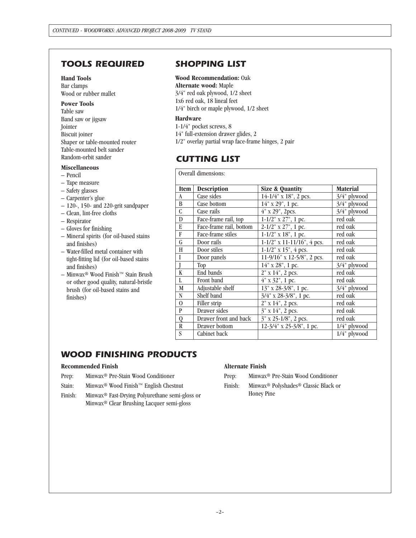## *TOOLS REQUIRED*

## **Hand Tools**

Bar clamps Wood or rubber mallet

**Power Tools** Table saw Band saw or jigsaw Jointer Biscuit joiner Shaper or table-mounted router Table-mounted belt sander Random-orbit sander

#### **Miscellaneous**

- Pencil
- Tape measure
- Safety glasses
- Carpenter's glue
- 120-, 150- and 220-grit sandpaper
- Clean, lint-free cloths
- Respirator
- Gloves for finishing
- Mineral spirits (for oil-based stains and finishes)
- Water-filled metal container with tight-fitting lid (for oil-based stains and finishes)
- Minwax® Wood Finish™ Stain Brush or other good quality, natural-bristle brush (for oil-based stains and finishes)

## *SHOPPING LIST*

#### **Wood Recommendation:** Oak

**Alternate wood:** Maple 3/4" red oak plywood, 1/2 sheet 1x6 red oak, 18 lineal feet 1/4" birch or maple plywood, 1/2 sheet

#### **Hardware**

1-1/4" pocket screws, 8 14" full-extension drawer glides, 2 1/2" overlay partial wrap face-frame hinges, 2 pair

### *CUTTING LIST*

| Overall dimensions: |                         |                               |                 |
|---------------------|-------------------------|-------------------------------|-----------------|
| <b>Item</b>         | <b>Description</b>      | <b>Size &amp; Quantity</b>    | <b>Material</b> |
| A                   | Case sides              | 14-1/4" x 18", 2 pcs.         | 3/4" plywood    |
| B                   | Case bottom             | 14" x 29", 1 pc.              | 3/4" plywood    |
| C                   | Case rails              | 4" x 29", 2pcs.               | 3/4" plywood    |
| D                   | Face-frame rail, top    | $1-1/2$ " x 27", 1 pc.        | red oak         |
| E                   | Face-frame rail, bottom | $2-1/2$ " x 27", 1 pc.        | red oak         |
| F                   | Face-frame stiles       | $1-1/2$ " x $18$ ", 1 pc.     | red oak         |
| G                   | Door rails              | $1-1/2$ " x 11-11/16", 4 pcs. | red oak         |
| Н                   | Door stiles             | $1-1/2$ " x $15$ ", 4 pcs.    | red oak         |
| I                   | Door panels             | 11-9/16" x 12-5/8", 2 pcs.    | red oak         |
|                     | Top                     | $14"$ x $28"$ , 1 pc.         | $3/4$ " plywood |
| K                   | End bands               | 2" x 14", 2 pcs.              | red oak         |
| L                   | Front band              | 4" x 32", 1 pc.               | red oak         |
| M                   | Adjustable shelf        | 13" x 28-3/8", 1 pc.          | $3/4$ " plywood |
| N                   | Shelf band              | 3/4" x 28-3/8", 1 pc.         | red oak         |
| $\overline{0}$      | Filler strip            | $2"$ x $14"$ , 2 pcs.         | red oak         |
| P                   | Drawer sides            | $3"$ x $14"$ , 2 pcs.         | red oak         |
| Q                   | Drawer front and back   | 3" x 25-1/8", 2 pcs.          | red oak         |
| R                   | Drawer bottom           | 12-3/4" x 25-3/8", 1 pc.      | $1/4$ " plywood |
| S                   | Cabinet back            |                               | 1/4" plywood    |

## *WOOD FINISHING PRODUCTS*

#### **Recommended Finish**

- Prep: Minwax® Pre-Stain Wood Conditioner
- Stain: Minwax® Wood Finish™ English Chestnut
- Finish: Minwax® Fast-Drying Polyurethane semi-gloss or Minwax® Clear Brushing Lacquer semi-gloss

#### **Alternate Finish**

- Prep: Minwax® Pre-Stain Wood Conditioner
- Finish: Minwax® Polyshades® Classic Black or Honey Pine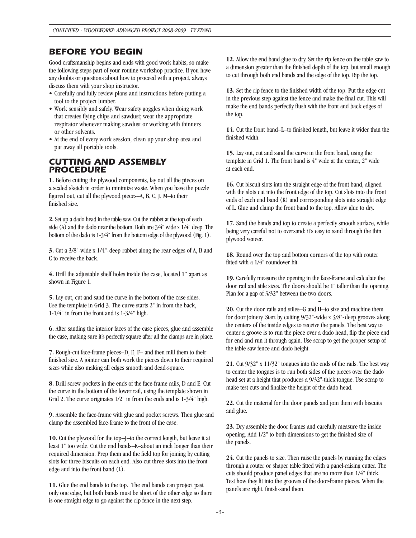### *BEFORE YOU BEGIN*

Good craftsmanship begins and ends with good work habits, so make the following steps part of your routine workshop practice. If you have any doubts or questions about how to proceed with a project, always discuss them with your shop instructor.

- Carefully and fully review plans and instructions before putting a tool to the project lumber.
- Work sensibly and safely. Wear safety goggles when doing work that creates flying chips and sawdust; wear the appropriate respirator whenever making sawdust or working with thinners or other solvents.
- At the end of every work session, clean up your shop area and put away all portable tools.

### *CUTTING AND ASSEMBLY PROCEDURE*

**1.** Before cutting the plywood components, lay out all the pieces on a scaled sketch in order to minimize waste. When you have the puzzle figured out, cut all the plywood pieces–A, B, C, J, M–to their finished size.

**2.**Set up a dado head in the table saw. Cut the rabbet at the top of each side (A) and the dado near the bottom. Both are 3/4" wide x 1/4" deep. The bottom of the dado is 1-3/4" from the bottom edge of the plywood (Fig. 1).

**3.** Cut a 3/8"-wide x 1/4"-deep rabbet along the rear edges of A, B and C to receive the back.

**4.** Drill the adjustable shelf holes inside the case, located 1" apart as shown in Figure 1.

**5.** Lay out, cut and sand the curve in the bottom of the case sides. Use the template in Grid 3. The curve starts 2" in from the back, 1-1/4" in from the front and is 1-3/4" high.

**6.** After sanding the interior faces of the case pieces, glue and assemble the case, making sure it's perfectly square after all the clamps are in place.

**7.** Rough-cut face-frame pieces–D, E, F– and then mill them to their finished size. A jointer can both work the pieces down to their required sizes while also making all edges smooth and dead-square.

**8.** Drill screw pockets in the ends of the face-frame rails, D and E. Cut the curve in the bottom of the lower rail, using the template shown in Grid 2. The curve originates 1/2" in from the ends and is 1-3/4" high.

**9.** Assemble the face-frame with glue and pocket screws. Then glue and clamp the assembled face-frame to the front of the case.

**10.** Cut the plywood for the top–J–to the correct length, but leave it at least 1" too wide. Cut the end bands–K–about an inch longer than their required dimension. Prep them and the field top for joining by cutting slots for three biscuits on each end. Also cut three slots into the front edge and into the front band (L).

**11.** Glue the end bands to the top. The end bands can project past only one edge, but both bands must be short of the other edge so there is one straight edge to go against the rip fence in the next step.

**12.** Allow the end band glue to dry. Set the rip fence on the table saw to a dimension greater than the finished depth of the top, but small enough to cut through both end bands and the edge of the top. Rip the top.

**13.** Set the rip fence to the finished width of the top. Put the edge cut in the previous step against the fence and make the final cut. This will make the end bands perfectly flush with the front and back edges of the top.

**14.** Cut the front band–L–to finished length, but leave it wider than the finished width.

**15.** Lay out, cut and sand the curve in the front band, using the template in Grid 1. The front band is 4" wide at the center, 2" wide at each end.

**16.** Cut biscuit slots into the straight edge of the front band, aligned with the slots cut into the front edge of the top. Cut slots into the front ends of each end band (K) and corresponding slots into straight edge of L. Glue and clamp the front band to the top. Allow glue to dry.

**17.** Sand the bands and top to create a perfectly smooth surface, while being very careful not to oversand; it's easy to sand through the thin plywood veneer.

**18.** Round over the top and bottom corners of the top with router fitted with a 1/4" roundover bit.

**19.** Carefully measure the opening in the face-frame and calculate the door rail and stile sizes. The doors should be 1" taller than the opening. Plan for a gap of 3/32" between the two doors.

**20.** Cut the door rails and stiles–G and H–to size and machine them for door joinery. Start by cutting 9/32"-wide x 3/8"-deep grooves along the centers of the inside edges to receive the panels. The best way to center a groove is to run the piece over a dado head, flip the piece end for end and run it through again. Use scrap to get the proper setup of the table saw fence and dado height.

**21.** Cut 9/32" x 11/32" tongues into the ends of the rails. The best way to center the tongues is to run both sides of the pieces over the dado head set at a height that produces a 9/32"-thick tongue. Use scrap to make test cuts and finalize the height of the dado head.

**22.** Cut the material for the door panels and join them with biscuits and glue.

**23.** Dry assemble the door frames and carefully measure the inside opening. Add 1/2" to both dimensions to get the finished size of the panels.

**24.** Cut the panels to size. Then raise the panels by running the edges through a router or shaper table fitted with a panel-raising cutter. The cuts should produce panel edges that are no more than 1/4" thick. Test how they fit into the grooves of the door-frame pieces. When the panels are right, finish-sand them.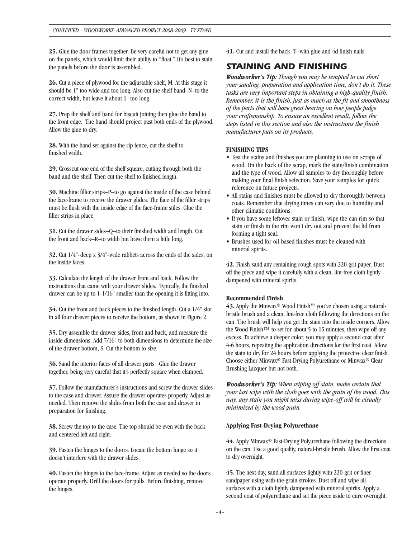**25.** Glue the door frames together. Be very careful not to get any glue on the panels, which would limit their ability to "float." It's best to stain the panels before the door is assembled.

**26.** Cut a piece of plywood for the adjustable shelf, M. At this stage it should be 1" too wide and too long. Also cut the shelf band–N–to the correct width, but leave it about 1" too long.

**27.** Prep the shelf and band for biscuit joining then glue the band to the front edge. The band should project past both ends of the plywood. Allow the glue to dry.

**28.** With the band set against the rip fence, cut the shelf to finished width.

**29.** Crosscut one end of the shelf square, cutting through both the band and the shelf. Then cut the shelf to finished length.

**30.** Machine filler strips–P–to go against the inside of the case behind the face-frame to receive the drawer glides. The face of the filler strips must be flush with the inside edge of the face-frame stiles. Glue the filler strips in place.

**31.** Cut the drawer sides–Q–to their finished width and length. Cut the front and back–R–to width but leave them a little long.

**32.** Cut 1/4"-deep x 3/4"-wide rabbets across the ends of the sides, on the inside faces.

**33.** Calculate the length of the drawer front and back. Follow the instructions that came with your drawer slides. Typically, the finished drawer can be up to 1-1/16" smaller than the opening it is fitting into.

**34.** Cut the front and back pieces to the finished length. Cut a 1/4" slot in all four drawer pieces to receive the bottom, as shown in Figure 2.

**35.** Dry assemble the drawer sides, front and back, and measure the inside dimensions. Add 7/16" to both dimensions to determine the size of the drawer bottom, S. Cut the bottom to size.

**36.** Sand the interior faces of all drawer parts. Glue the drawer together, being very careful that it's perfectly square when clamped.

**37.** Follow the manufacturer's instructions and screw the drawer slides to the case and drawer. Assure the drawer operates properly. Adjust as needed. Then remove the slides from both the case and drawer in preparation for finishing.

**38.** Screw the top to the case. The top should be even with the back and centered left and right.

**39.** Fasten the hinges to the doors. Locate the bottom hinge so it doesn't interfere with the drawer slides.

**40.** Fasten the hinges to the face-frame. Adjust as needed so the doors operate properly. Drill the doors for pulls. Before finishing, remove the hinges.

**41.** Cut and install the back–T–with glue and 4d finish nails.

## *STAINING AND FINISHING*

*Woodworker's Tip: Though you may be tempted to cut short your sanding, preparation and application time, don't do it. These tasks are very important steps in obtaining a high-quality finish. Remember, it is the finish, just as much as the fit and smoothness of the parts that will have great bearing on how people judge your craftsmanship. To ensure an excellent result, follow the steps listed in this section and also the instructions the finish manufacturer puts on its products.*

#### **FINISHING TIPS**

- Test the stains and finishes you are planning to use on scraps of wood. On the back of the scrap, mark the stain/finish combination and the type of wood. Allow all samples to dry thoroughly before making your final finish selection. Save your samples for quick reference on future projects.
- All stains and finishes must be allowed to dry thoroughly between coats. Remember that drying times can vary due to humidity and other climatic conditions.
- If you have some leftover stain or finish, wipe the can rim so that stain or finish in the rim won't dry out and prevent the lid from forming a tight seal.
- Brushes used for oil-based finishes must be cleaned with mineral spirits.

**42.** Finish-sand any remaining rough spots with 220-grit paper. Dust off the piece and wipe it carefully with a clean, lint-free cloth lightly dampened with mineral spirits.

#### **Recommended Finish**

**43.** Apply the Minwax® Wood Finish™ you've chosen using a naturalbristle brush and a clean, lint-free cloth following the directions on the can. The brush will help you get the stain into the inside corners. Allow the Wood Finish™ to set for about 5 to 15 minutes, then wipe off any excess. To achieve a deeper color, you may apply a second coat after 4-6 hours, repeating the application directions for the first coat. Allow the stain to dry for 24 hours before applying the protective clear finish. Choose either Minwax® Fast-Drying Polyurethane or Minwax® Clear Brushing Lacquer but not both.

*Woodworker's Tip: When wiping off stain, make certain that your last wipe with the cloth goes with the grain of the wood. This way, any stain you might miss during wipe-off will be visually minimized by the wood grain.*

#### **Applying Fast-Drying Polyurethane**

**44.** Apply Minwax® Fast-Drying Polyurethane following the directions on the can. Use a good quality, natural-bristle brush. Allow the first coat to dry overnight.

**45.** The next day, sand all surfaces lightly with 220-grit or finer sandpaper using with-the-grain strokes. Dust off and wipe all surfaces with a cloth lightly dampened with mineral spirits. Apply a second coat of polyurethane and set the piece aside to cure overnight.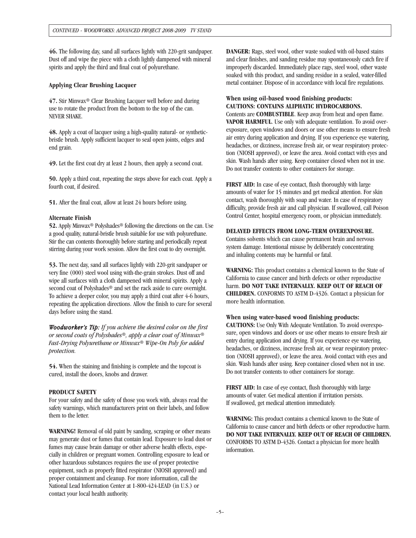**46.** The following day, sand all surfaces lightly with 220-grit sandpaper. Dust off and wipe the piece with a cloth lightly dampened with mineral spirits and apply the third and final coat of polyurethane.

#### **Applying Clear Brushing Lacquer**

**47.** Stir Minwax® Clear Brushing Lacquer well before and during use to rotate the product from the bottom to the top of the can. NEVER SHAKE.

**48.** Apply a coat of lacquer using a high-quality natural- or syntheticbristle brush. Apply sufficient lacquer to seal open joints, edges and end grain.

**49.** Let the first coat dry at least 2 hours, then apply a second coat.

**50.** Apply a third coat, repeating the steps above for each coat. Apply a fourth coat, if desired.

**51.** After the final coat, allow at least 24 hours before using.

#### **Alternate Finish**

**52.** Apply Minwax® Polyshades® following the directions on the can. Use a good quality, natural-bristle brush suitable for use with polyurethane. Stir the can contents thoroughly before starting and periodically repeat stirring during your work session. Allow the first coat to dry overnight.

**53.** The next day, sand all surfaces lightly with 220-grit sandpaper or very fine (000) steel wool using with-the-grain strokes. Dust off and wipe all surfaces with a cloth dampened with mineral spirits. Apply a second coat of Polyshades® and set the rack aside to cure overnight. To achieve a deeper color, you may apply a third coat after 4-6 hours, repeating the application directions. Allow the finish to cure for several days before using the stand.

*Woodworker's Tip: If you achieve the desired color on the first or second coats of Polyshades®, apply a clear coat of Minwax® Fast-Drying Polyurethane or Minwax® Wipe-On Poly for added protection.*

**54.** When the staining and finishing is complete and the topcoat is cured, install the doors, knobs and drawer.

#### **PRODUCT SAFETY**

For your safety and the safety of those you work with, always read the safety warnings, which manufacturers print on their labels, and follow them to the letter.

**WARNING!** Removal of old paint by sanding, scraping or other means may generate dust or fumes that contain lead. Exposure to lead dust or fumes may cause brain damage or other adverse health effects, especially in children or pregnant women. Controlling exposure to lead or other hazardous substances requires the use of proper protective equipment, such as properly fitted respirator (NIOSH approved) and proper containment and cleanup. For more information, call the National Lead Information Center at 1-800-424-LEAD (in U.S.) or contact your local health authority.

**DANGER:** Rags, steel wool, other waste soaked with oil-based stains and clear finishes, and sanding residue may spontaneously catch fire if improperly discarded. Immediately place rags, steel wool, other waste soaked with this product, and sanding residue in a sealed, water-filled metal container. Dispose of in accordance with local fire regulations.

#### **When using oil-based wood finishing products: CAUTIONS: CONTAINS ALIPHATIC HYDROCARBONS.**

Contents are **COMBUSTIBLE**. Keep away from heat and open flame. **VAPOR HARMFUL**. Use only with adequate ventilation. To avoid overexposure, open windows and doors or use other means to ensure fresh air entry during application and drying. If you experience eye watering, headaches, or dizziness, increase fresh air, or wear respiratory protection (NIOSH approved), or leave the area. Avoid contact with eyes and skin. Wash hands after using. Keep container closed when not in use. Do not transfer contents to other containers for storage.

**FIRST AID:** In case of eye contact, flush thoroughly with large amounts of water for 15 minutes and get medical attention. For skin contact, wash thoroughly with soap and water. In case of respiratory difficulty, provide fresh air and call physician. If swallowed, call Poison Control Center, hospital emergency room, or physician immediately.

#### **DELAYED EFFECTS FROM LONG-TERM OVEREXPOSURE.**

Contains solvents which can cause permanent brain and nervous system damage. Intentional misuse by deliberately concentrating and inhaling contents may be harmful or fatal.

**WARNING:** This product contains a chemical known to the State of California to cause cancer and birth defects or other reproductive harm. **DO NOT TAKE INTERNALLY. KEEP OUT OF REACH OF CHILDREN.** CONFORMS TO ASTM D-4326. Contact a physician for more health information.

#### **When using water-based wood finishing products:**

**CAUTIONS:** Use Only With Adequate Ventilation. To avoid overexposure, open windows and doors or use other means to ensure fresh air entry during application and drying. If you experience eye watering, headaches, or dizziness, increase fresh air, or wear respiratory protection (NIOSH approved), or leave the area. Avoid contact with eyes and skin. Wash hands after using. Keep container closed when not in use. Do not transfer contents to other containers for storage.

**FIRST AID:** In case of eye contact, flush thoroughly with large amounts of water. Get medical attention if irritation persists. If swallowed, get medical attention immediately.

**WARNING:** This product contains a chemical known to the State of California to cause cancer and birth defects or other reproductive harm. **DO NOT TAKE INTERNALLY. KEEP OUT OF REACH OF CHILDREN.**  CONFORMS TO ASTM D-4326. Contact a physician for more health information.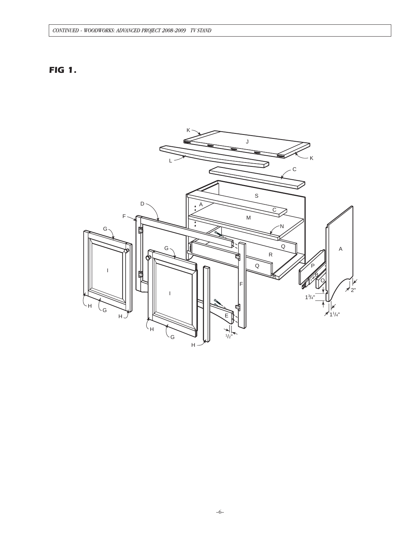## *FIG 1.*